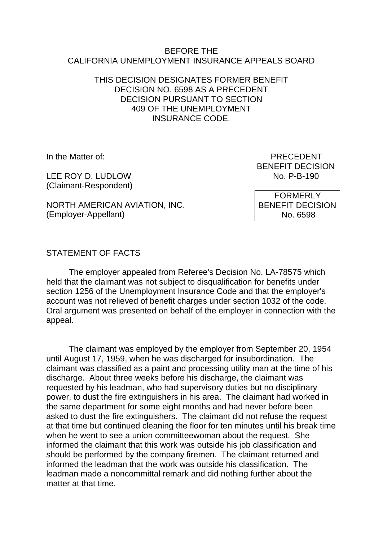#### BEFORE THE CALIFORNIA UNEMPLOYMENT INSURANCE APPEALS BOARD

### THIS DECISION DESIGNATES FORMER BENEFIT DECISION NO. 6598 AS A PRECEDENT DECISION PURSUANT TO SECTION 409 OF THE UNEMPLOYMENT INSURANCE CODE.

LEE ROY D. LUDLOW (Claimant-Respondent)

NORTH AMERICAN AVIATION, INC. (Employer-Appellant)

In the Matter of: PRECEDENT BENEFIT DECISION<br>No. P-B-190

> FORMERLY BENEFIT DECISION No. 6598

# STATEMENT OF FACTS

The employer appealed from Referee's Decision No. LA-78575 which held that the claimant was not subject to disqualification for benefits under section 1256 of the Unemployment Insurance Code and that the employer's account was not relieved of benefit charges under section 1032 of the code. Oral argument was presented on behalf of the employer in connection with the appeal.

The claimant was employed by the employer from September 20, 1954 until August 17, 1959, when he was discharged for insubordination. The claimant was classified as a paint and processing utility man at the time of his discharge. About three weeks before his discharge, the claimant was requested by his leadman, who had supervisory duties but no disciplinary power, to dust the fire extinguishers in his area. The claimant had worked in the same department for some eight months and had never before been asked to dust the fire extinguishers. The claimant did not refuse the request at that time but continued cleaning the floor for ten minutes until his break time when he went to see a union committeewoman about the request. She informed the claimant that this work was outside his job classification and should be performed by the company firemen. The claimant returned and informed the leadman that the work was outside his classification. The leadman made a noncommittal remark and did nothing further about the matter at that time.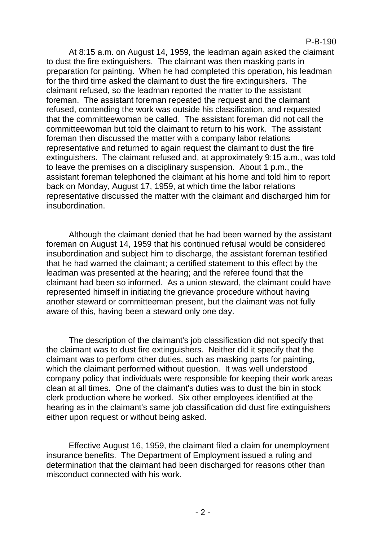### P-B-190

At 8:15 a.m. on August 14, 1959, the leadman again asked the claimant to dust the fire extinguishers. The claimant was then masking parts in preparation for painting. When he had completed this operation, his leadman for the third time asked the claimant to dust the fire extinguishers. The claimant refused, so the leadman reported the matter to the assistant foreman. The assistant foreman repeated the request and the claimant refused, contending the work was outside his classification, and requested that the committeewoman be called. The assistant foreman did not call the committeewoman but told the claimant to return to his work. The assistant foreman then discussed the matter with a company labor relations representative and returned to again request the claimant to dust the fire extinguishers. The claimant refused and, at approximately 9:15 a.m., was told to leave the premises on a disciplinary suspension. About 1 p.m., the assistant foreman telephoned the claimant at his home and told him to report back on Monday, August 17, 1959, at which time the labor relations representative discussed the matter with the claimant and discharged him for insubordination.

Although the claimant denied that he had been warned by the assistant foreman on August 14, 1959 that his continued refusal would be considered insubordination and subject him to discharge, the assistant foreman testified that he had warned the claimant; a certified statement to this effect by the leadman was presented at the hearing; and the referee found that the claimant had been so informed. As a union steward, the claimant could have represented himself in initiating the grievance procedure without having another steward or committeeman present, but the claimant was not fully aware of this, having been a steward only one day.

The description of the claimant's job classification did not specify that the claimant was to dust fire extinguishers. Neither did it specify that the claimant was to perform other duties, such as masking parts for painting, which the claimant performed without question. It was well understood company policy that individuals were responsible for keeping their work areas clean at all times. One of the claimant's duties was to dust the bin in stock clerk production where he worked. Six other employees identified at the hearing as in the claimant's same job classification did dust fire extinguishers either upon request or without being asked.

Effective August 16, 1959, the claimant filed a claim for unemployment insurance benefits. The Department of Employment issued a ruling and determination that the claimant had been discharged for reasons other than misconduct connected with his work.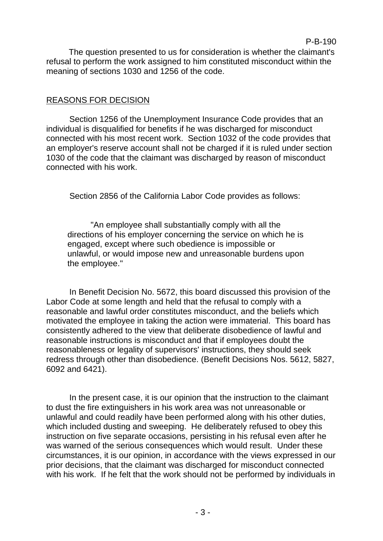The question presented to us for consideration is whether the claimant's refusal to perform the work assigned to him constituted misconduct within the meaning of sections 1030 and 1256 of the code.

P-B-190

# REASONS FOR DECISION

Section 1256 of the Unemployment Insurance Code provides that an individual is disqualified for benefits if he was discharged for misconduct connected with his most recent work. Section 1032 of the code provides that an employer's reserve account shall not be charged if it is ruled under section 1030 of the code that the claimant was discharged by reason of misconduct connected with his work.

Section 2856 of the California Labor Code provides as follows:

"An employee shall substantially comply with all the directions of his employer concerning the service on which he is engaged, except where such obedience is impossible or unlawful, or would impose new and unreasonable burdens upon the employee."

In Benefit Decision No. 5672, this board discussed this provision of the Labor Code at some length and held that the refusal to comply with a reasonable and lawful order constitutes misconduct, and the beliefs which motivated the employee in taking the action were immaterial. This board has consistently adhered to the view that deliberate disobedience of lawful and reasonable instructions is misconduct and that if employees doubt the reasonableness or legality of supervisors' instructions, they should seek redress through other than disobedience. (Benefit Decisions Nos. 5612, 5827, 6092 and 6421).

In the present case, it is our opinion that the instruction to the claimant to dust the fire extinguishers in his work area was not unreasonable or unlawful and could readily have been performed along with his other duties, which included dusting and sweeping. He deliberately refused to obey this instruction on five separate occasions, persisting in his refusal even after he was warned of the serious consequences which would result. Under these circumstances, it is our opinion, in accordance with the views expressed in our prior decisions, that the claimant was discharged for misconduct connected with his work. If he felt that the work should not be performed by individuals in